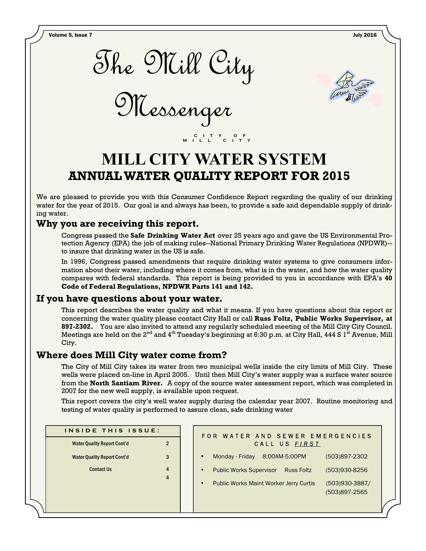Volume 5, Issue 7 July 2016

The Mill City

Messenger



# **MILL CITY WATER SYSTEM ANNUAL WATER QUALITY REPORT FOR 2015**

 **C I T Y O F M I L L C I T Y** 

We are pleased to provide you with this Consumer Confidence Report regarding the quality of our drinking water for the year of 2015. Our goal is and always has been, to provide a safe and dependable supply of drinking water.

## **Why you are receiving this report.**

Congress passed the **Safe Drinking Water Act** over 25 years ago and gave the US Environmental Protection Agency (EPA) the job of making rules--National Primary Drinking Water Regulations (NPDWR)- to insure that drinking water in the US is safe.

In 1996, Congress passed amendments that require drinking water systems to give consumers information about their water, including where it comes from, what is in the water, and how the water quality compares with federal standards. This report is being provided to you in accordance with EPA's **40 Code of Federal Regulations, NPDWR Parts 141 and 142.**

## **If you have questions about your water.**

This report describes the water quality and what it means. If you have questions about this report or concerning the water quality please contact City Hall or call **Russ Foltz, Public Works Supervisor, at 897-2302.** You are also invited to attend any regularly scheduled meeting of the Mill City City Council. Meetings are held on the  $2^{nd}$  and  $4^{th}$  Tuesday's beginning at 6:30 p.m. at City Hall, 444 S 1<sup>st</sup> Avenue, Mill City.

## **Where does Mill City water come from?**

The City of Mill City takes its water from two municipal wells inside the city limits of Mill City. These wells were placed on-line in April 2005. Until then Mill City's water supply was a surface water source from the **North Santiam River.** A copy of the source water assessment report, which was completed in 2007 for the new well supply, is available upon request.

This report covers the city's well water supply during the calendar year 2007. Routine monitoring and testing of water quality is performed to assure clean, safe drinking water

| INSIDE THIS ISSUE:                 |   |  |  |  |
|------------------------------------|---|--|--|--|
| <b>Water Quality Report Cont'd</b> | 2 |  |  |  |
| <b>Water Quality Report Cont'd</b> |   |  |  |  |
| <b>Contact Us</b>                  | 4 |  |  |  |
|                                    |   |  |  |  |
|                                    |   |  |  |  |
|                                    |   |  |  |  |

| FOR WATER AND SEWER EMERGENCIES<br>CALL US FIRST                 |                                 |  |  |  |  |  |
|------------------------------------------------------------------|---------------------------------|--|--|--|--|--|
| 8:00AM-5:00PM<br>Monday - Friday                                 | (503)897-2302                   |  |  |  |  |  |
| <b>Public Works Supervisor</b><br><b>Russ Foltz</b><br>$\bullet$ | (503)930-8256                   |  |  |  |  |  |
| <b>Public Works Maint Worker Jerry Curtis</b><br>$\bullet$       | (503)930-3887/<br>(503)897-2565 |  |  |  |  |  |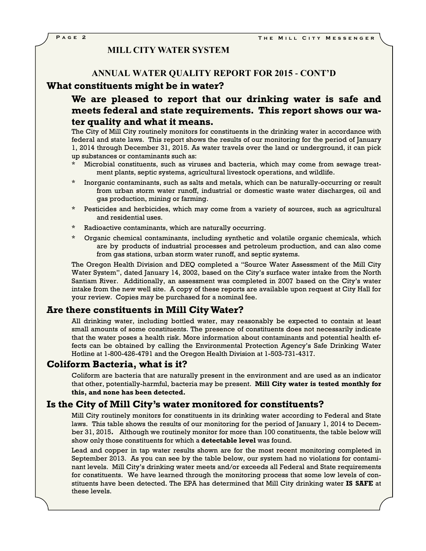### **MILL CITY WATER SYSTEM**

#### **ANNUAL WATER QUALITY REPORT FOR 2015 - CONT'D**

#### **What constituents might be in water?**

## **We are pleased to report that our drinking water is safe and meets federal and state requirements. This report shows our water quality and what it means.**

The City of Mill City routinely monitors for constituents in the drinking water in accordance with federal and state laws. This report shows the results of our monitoring for the period of January 1, 2014 through December 31, 2015. As water travels over the land or underground, it can pick up substances or contaminants such as:

- Microbial constituents, such as viruses and bacteria, which may come from sewage treatment plants, septic systems, agricultural livestock operations, and wildlife.
- Inorganic contaminants, such as salts and metals, which can be naturally-occurring or result from urban storm water runoff, industrial or domestic waste water discharges, oil and gas production, mining or farming.
- \* Pesticides and herbicides, which may come from a variety of sources, such as agricultural and residential uses.
- Radioactive contaminants, which are naturally occurring.
- Organic chemical contaminants, including synthetic and volatile organic chemicals, which are by products of industrial processes and petroleum production, and can also come from gas stations, urban storm water runoff, and septic systems.

The Oregon Health Division and DEQ completed a "Source Water Assessment of the Mill City Water System", dated January 14, 2002, based on the City's surface water intake from the North Santiam River. Additionally, an assessment was completed in 2007 based on the City's water intake from the new well site. A copy of these reports are available upon request at City Hall for your review. Copies may be purchased for a nominal fee.

### **Are there constituents in Mill City Water?**

All drinking water, including bottled water, may reasonably be expected to contain at least small amounts of some constituents. The presence of constituents does not necessarily indicate that the water poses a health risk. More information about contaminants and potential health effects can be obtained by calling the Environmental Protection Agency's Safe Drinking Water Hotline at 1-800-426-4791 and the Oregon Health Division at 1-503-731-4317.

## **Coliform Bacteria, what is it?**

Coliform are bacteria that are naturally present in the environment and are used as an indicator that other, potentially-harmful, bacteria may be present. **Mill City water is tested monthly for this, and none has been detected.**

## **Is the City of Mill City's water monitored for constituents?**

Mill City routinely monitors for constituents in its drinking water according to Federal and State laws. This table shows the results of our monitoring for the period of January 1, 2014 to December 31, 2015**.** Although we routinely monitor for more than 100 constituents, the table below will show only those constituents for which a **detectable level** was found.

Lead and copper in tap water results shown are for the most recent monitoring completed in September 2013. As you can see by the table below, our system had no violations for contaminant levels. Mill City's drinking water meets and/or exceeds all Federal and State requirements for constituents. We have learned through the monitoring process that some low levels of constituents have been detected. The EPA has determined that Mill City drinking water **IS SAFE** at these levels.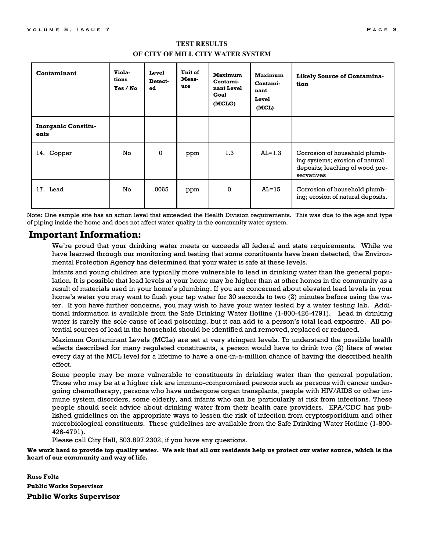| Contaminant                        | Viola-<br>tions<br>Yes / No | Level<br>Detect-<br>ed | Unit of<br>Meas-<br>ure | Maximum<br>Contami-<br>nant Level<br>Goal<br>(MCLG) | Maximum<br>Contami-<br>nant<br>Level<br>(MCL) | <b>Likely Source of Contamina-</b><br>tion                                                                        |
|------------------------------------|-----------------------------|------------------------|-------------------------|-----------------------------------------------------|-----------------------------------------------|-------------------------------------------------------------------------------------------------------------------|
| <b>Inorganic Constitu-</b><br>ents |                             |                        |                         |                                                     |                                               |                                                                                                                   |
| 14. Copper                         | No                          | $\mathbf{0}$           | ppm                     | 1.3                                                 | $AL=1.3$                                      | Corrosion of household plumb-<br>ing systems; erosion of natural<br>deposits; leaching of wood pre-<br>servatives |
| 17. Lead                           | No                          | .0065                  | ppm                     | 0                                                   | $AL=15$                                       | Corrosion of household plumb-<br>ing; erosion of natural deposits.                                                |

## **TEST RESULTS OF CITY OF MILL CITY WATER SYSTEM**

Note: One sample site has an action level that exceeded the Health Division requirements. This was due to the age and type of piping inside the home and does not affect water quality in the community water system.

## **Important Information:**

We're proud that your drinking water meets or exceeds all federal and state requirements. While we have learned through our monitoring and testing that some constituents have been detected, the Environmental Protection Agency has determined that your water is safe at these levels.

Infants and young children are typically more vulnerable to lead in drinking water than the general population. It is possible that lead levels at your home may be higher than at other homes in the community as a result of materials used in your home's plumbing. If you are concerned about elevated lead levels in your home's water you may want to flush your tap water for 30 seconds to two (2) minutes before using the water. If you have further concerns, you may wish to have your water tested by a water testing lab. Additional information is available from the Safe Drinking Water Hotline (1-800-426-4791). Lead in drinking water is rarely the sole cause of lead poisoning, but it can add to a person's total lead exposure. All potential sources of lead in the household should be identified and removed, replaced or reduced.

Maximum Contaminant Levels (MCLs) are set at very stringent levels. To understand the possible health effects described for many regulated constituents, a person would have to drink two (2) liters of water every day at the MCL level for a lifetime to have a one-in-a-million chance of having the described health effect.

Some people may be more vulnerable to constituents in drinking water than the general population. Those who may be at a higher risk are immuno-compromised persons such as persons with cancer undergoing chemotherapy, persons who have undergone organ transplants, people with HIV/AIDS or other immune system disorders, some elderly, and infants who can be particularly at risk from infections. These people should seek advice about drinking water from their health care providers. EPA/CDC has published guidelines on the appropriate ways to lessen the risk of infection from cryptosporidium and other microbiological constituents. These guidelines are available from the Safe Drinking Water Hotline (1-800- 426-4791).

Please call City Hall, 503.897.2302, if you have any questions.

**We work hard to provide top quality water. We ask that all our residents help us protect our water source, which is the heart of our community and way of life.** 

**Russ Foltz Public Works Supervisor Public Works Supervisor**